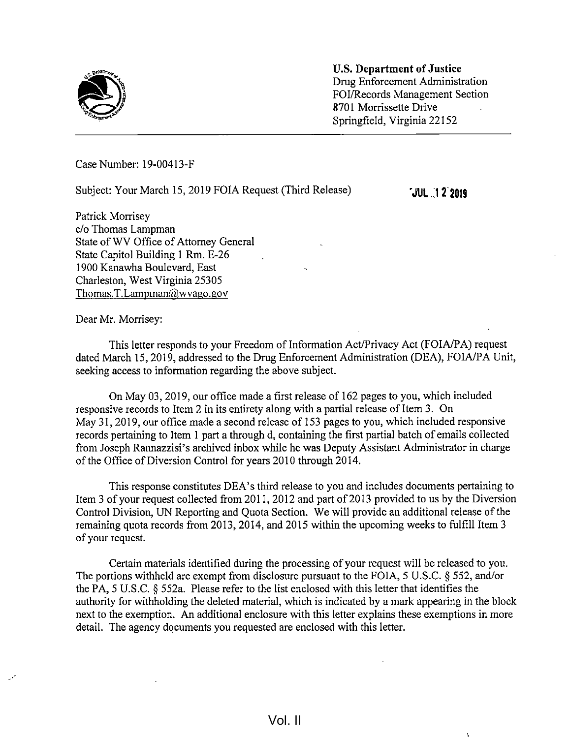

U.S. Department of Justice Drug Enforcement Administration FOI/Records Management Section 8701 Morrissette Drive - Springfield, Virginia 22152

Case Number: 19-00413-F

Subject: Your March 15, 2019 FOIA Request (Third Release) **JUL 12 2019** 

Patrick Morrisey c/o Thomas Lampman State of WV Office of Attorney General State Capitol Building <sup>1</sup> Rm. E-26 1900 Kanawha Boulevard, East Charleston, West Virginia 25305 Thomas.T.Lampman@wvago.gov

Dear Mr. Morrisey:

This letter responds to your Freedom of Information Act/Privacy Act (FOIA/PA) request dated March 15, 2019, addressed to the Drug Enforcement Administration (DEA), FOIA/PA Unit, seeking access to information regarding the above subject.

On May 03, 2019, our office made <sup>a</sup> first release of 162 pages to you, which included responsive records to Item 2 in its entirety along with a partial release of Item 3. On May 31, 2019, our office made <sup>a</sup> second release of <sup>153</sup> pages to you, which included responsive records pertaining to Item <sup>1</sup> part <sup>a</sup> through d, containing the first partial batch of emails collected from Joseph Rannazzisi's archived inbox while he was Deputy Assistant Administrator in charge of the Office of Diversion Control for years 2010 through 2014.

This response constitutes DEA's third release to you and includes documents pertaining to Item 3 of your request collected from 2011, 2012 and part of 2013 provided to us by the Diversion Control Division, UN Reporting and Quota Section. We will provide an additional release of the remaining quota records from 2013, 2014, and 2015 within the upcoming weeks to fulfill Item <sup>3</sup> of your request.

Certain materials identified during the processing of your request will be released to you. The portions withheld are exempt from disclosure pursuant to the FOIA, 5 U.S.C. § 552, and/or the PA, <sup>5</sup> U.S.C. § 552a. Please refer to the list enclosed with this letter that identifies the authority for withholding the deleted material, which is indicated by a mark appearing in the block next to the exemption. An additional enclosure with this letter explains these exemptions in more detail. The agency documents you requested are enclosed with this letter.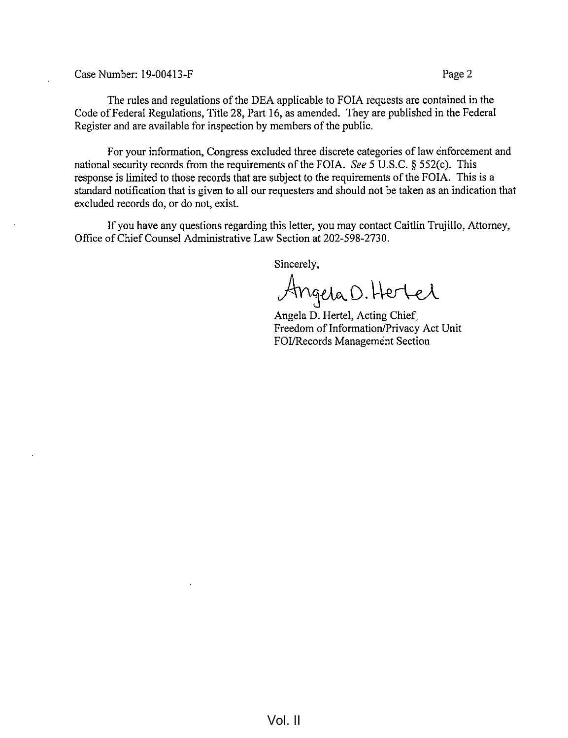Case Number: 19-00413-F Page 2

The rules and regulations of the DEA applicable to FOIA requests are contained in the Code of Federal Regulations, Title 28, Part 16, as amended. They are published in the Federal Register and are available for inspection by members of the public.

For your information, Congress excluded three discrete categories of law enforcement and national security records from the requirements of the FOIA. See 5 U.S.C.  $\S$  552(c). This response is limited to those records that are subject to the requirements of the FOIA. This is a standard notification that is given to all our requesters and should not be taken as an indication that excluded records do, or do not, exist.

If you have any questions regarding this letter, you may contact Caitlin Trujillo, Attorney, Office of Chief Counsel Administrative Law Section at 202-598-2730.

Sincerely,

Angela D. Hertel

Angela D. Hertel, Acting Chief, Freedom of Information/Privacy Act Unit FOI/Records Management Section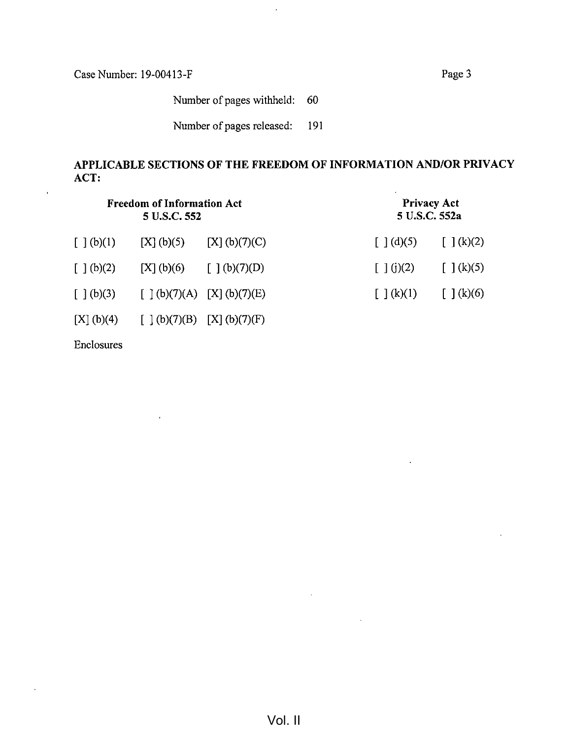$\ddot{\phantom{a}}$ 

 $\mathcal{A}$ 

Number of pages withheld: 60

 $\ddot{\phantom{a}}$ 

Number of pages released: 191

## APPLICABLE SECTIONS OF THE FREEDOM OF INFORMATION AND/OR PRIVACY ACT:

| <b>Freedom of Information Act</b><br>5 U.S.C. 552  |               |                             | <b>Privacy Act</b><br>5 U.S.C. 552a                |                                                    |
|----------------------------------------------------|---------------|-----------------------------|----------------------------------------------------|----------------------------------------------------|
| [ ] (b)(1)                                         | [X](b)(5)     | [X] (b)(7)(C)               | $\left[\begin{array}{c}1\end{array}(d)(5)\right]$  | $\left[\begin{array}{c} \end{array}\right]$ (k)(2) |
| $\left[\begin{array}{c} \end{array}\right] (b)(2)$ | [X] (b)(6)    | [ ] (b)(7)(D)               | [ ] (j)(2)                                         | $\left[\begin{array}{c} \end{array}\right] (k)(5)$ |
| $\left[\begin{array}{c}1\end{array}(b)(3)\right]$  |               | [ ] (b)(7)(A) [X] (b)(7)(E) | $\left[\begin{array}{c} \end{array}\right] (k)(1)$ | $\left[\begin{array}{c} \end{array}\right]$ (k)(6) |
| [X] (b)(4)                                         | [ ] (b)(7)(B) | [X] (b)(7)(F)               |                                                    |                                                    |

Enclosures

 $\hat{I}$ 

 $\overline{1}$ 

 $\bar{\star}$